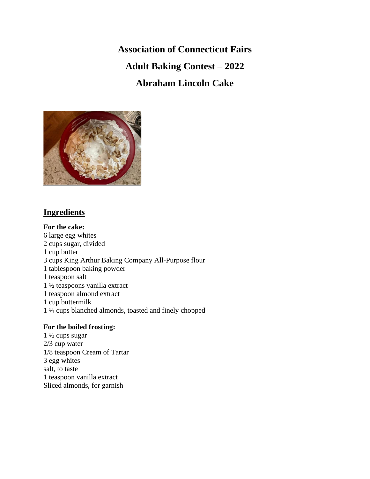**Association of Connecticut Fairs Adult Baking Contest – 2022 Abraham Lincoln Cake**



# **Ingredients**

**For the cake:** 6 large egg whites 2 cups sugar, divided 1 cup butter 3 cups King Arthur Baking Company All-Purpose flour 1 tablespoon baking powder 1 teaspoon salt 1 ½ teaspoons vanilla extract 1 teaspoon almond extract 1 cup buttermilk 1 ¼ cups blanched almonds, toasted and finely chopped

# **For the boiled frosting:**

1 ½ cups sugar 2/3 cup water 1/8 teaspoon Cream of Tartar 3 egg whites salt, to taste 1 teaspoon vanilla extract Sliced almonds, for garnish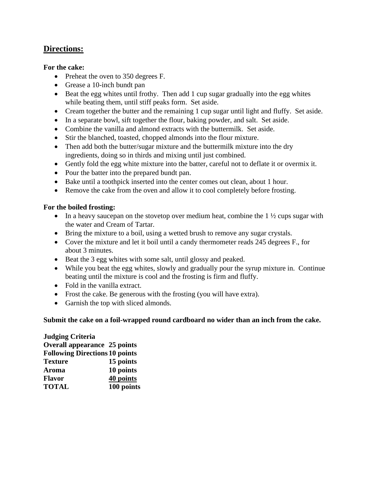# **Directions:**

#### **For the cake:**

- Preheat the oven to 350 degrees F.
- Grease a 10-inch bundt pan
- Beat the egg whites until frothy. Then add 1 cup sugar gradually into the egg whites while beating them, until stiff peaks form. Set aside.
- Cream together the butter and the remaining 1 cup sugar until light and fluffy. Set aside.
- In a separate bowl, sift together the flour, baking powder, and salt. Set aside.
- Combine the vanilla and almond extracts with the buttermilk. Set aside.
- Stir the blanched, toasted, chopped almonds into the flour mixture.
- Then add both the butter/sugar mixture and the buttermilk mixture into the dry ingredients, doing so in thirds and mixing until just combined.
- Gently fold the egg white mixture into the batter, careful not to deflate it or overmix it.
- Pour the batter into the prepared bundt pan.
- Bake until a toothpick inserted into the center comes out clean, about 1 hour.
- Remove the cake from the oven and allow it to cool completely before frosting.

## **For the boiled frosting:**

- In a heavy saucepan on the stovetop over medium heat, combine the  $1\frac{1}{2}$  cups sugar with the water and Cream of Tartar.
- Bring the mixture to a boil, using a wetted brush to remove any sugar crystals.
- Cover the mixture and let it boil until a candy thermometer reads 245 degrees F., for about 3 minutes.
- Beat the 3 egg whites with some salt, until glossy and peaked.
- While you beat the egg whites, slowly and gradually pour the syrup mixture in. Continue beating until the mixture is cool and the frosting is firm and fluffy.
- Fold in the vanilla extract.
- Frost the cake. Be generous with the frosting (you will have extra).
- Garnish the top with sliced almonds.

## **Submit the cake on a foil-wrapped round cardboard no wider than an inch from the cake.**

#### **Judging Criteria Overall appearance 25 points Following Directions 10 points Texture 15 points Aroma 10 points Flavor 40 points TOTAL 100 points**